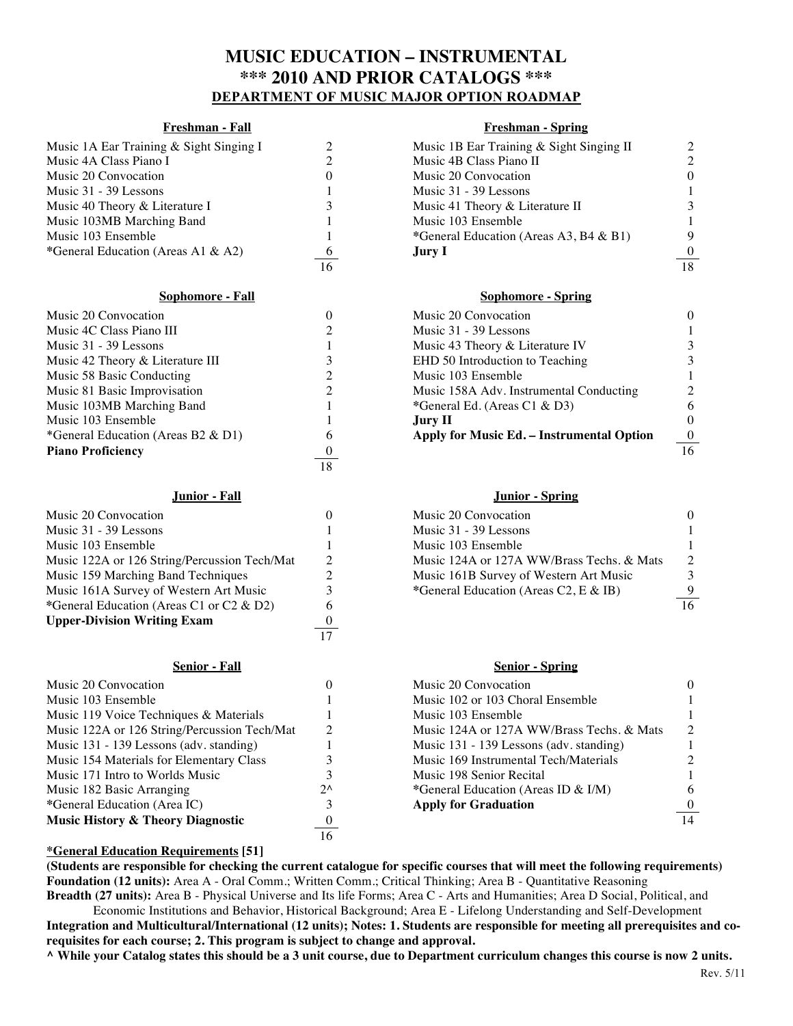# **MUSIC EDUCATION – INSTRUMENTAL \*\*\* 2010 AND PRIOR CATALOGS \*\*\* DEPARTMENT OF MUSIC MAJOR OPTION ROADMAP**

| Music 1A Ear Training & Sight Singing I |                 | Music 1B Ear Training & Sight Singing II |                  |
|-----------------------------------------|-----------------|------------------------------------------|------------------|
| Music 4A Class Piano I                  |                 | Music 4B Class Piano II                  | 2                |
| Music 20 Convocation                    |                 | Music 20 Convocation                     | $\Omega$         |
| Music 31 - 39 Lessons                   |                 | Music 31 - 39 Lessons                    |                  |
| Music 40 Theory & Literature I          |                 | Music 41 Theory & Literature II          | 3                |
| Music 103MB Marching Band               |                 | Music 103 Ensemble                       |                  |
| Music 103 Ensemble                      |                 | *General Education (Areas A3, B4 & B1)   | 9                |
| *General Education (Areas A1 & A2)      | $\ddot{\sigma}$ | <b>Jury I</b>                            | $\boldsymbol{0}$ |
|                                         | 16              |                                          | $\overline{10}$  |

| Music 20 Convocation               |                | Music 20 Convocation                      |                 |
|------------------------------------|----------------|-------------------------------------------|-----------------|
| Music 4C Class Piano III           |                | Music 31 - 39 Lessons                     |                 |
| Music 31 - 39 Lessons              |                | Music 43 Theory & Literature IV           | 3               |
| Music 42 Theory & Literature III   |                | EHD 50 Introduction to Teaching           | 3               |
| Music 58 Basic Conducting          |                | Music 103 Ensemble                        |                 |
| Music 81 Basic Improvisation       |                | Music 158A Adv. Instrumental Conducting   | 2               |
| Music 103MB Marching Band          |                | *General Ed. (Areas C1 & D3)              |                 |
| Music 103 Ensemble                 |                | Jury II                                   |                 |
| *General Education (Areas B2 & D1) | 6              | Apply for Music Ed. - Instrumental Option | $\overline{0}$  |
| <b>Piano Proficiency</b>           | $\overline{0}$ |                                           | $\overline{16}$ |
|                                    | 18             |                                           |                 |

| Music 20 Convocation                         |          | Music 20 Convocation                      |                 |
|----------------------------------------------|----------|-------------------------------------------|-----------------|
| Music 31 - 39 Lessons                        |          | Music 31 - 39 Lessons                     |                 |
| Music 103 Ensemble                           |          | Music 103 Ensemble                        |                 |
| Music 122A or 126 String/Percussion Tech/Mat |          | Music 124A or 127A WW/Brass Techs. & Mats | $\mathcal{D}$   |
| Music 159 Marching Band Techniques           |          | Music 161B Survey of Western Art Music    | 3               |
| Music 161A Survey of Western Art Music       |          | *General Education (Areas C2, E & IB)     | 9               |
| *General Education (Areas C1 or C2 & D2)     | 6        |                                           | $\overline{16}$ |
| <b>Upper-Division Writing Exam</b>           | $\bf{0}$ |                                           |                 |
|                                              |          |                                           |                 |

| Music 20 Convocation                         |              | Music 20 Convocation                      |                  |
|----------------------------------------------|--------------|-------------------------------------------|------------------|
| Music 103 Ensemble                           |              | Music 102 or 103 Choral Ensemble          |                  |
| Music 119 Voice Techniques & Materials       |              | Music 103 Ensemble                        |                  |
| Music 122A or 126 String/Percussion Tech/Mat |              | Music 124A or 127A WW/Brass Techs, & Mats | $\mathcal{P}$    |
| Music 131 - 139 Lessons (adv. standing)      |              | Music 131 - 139 Lessons (adv. standing)   |                  |
| Music 154 Materials for Elementary Class     |              | Music 169 Instrumental Tech/Materials     |                  |
| Music 171 Intro to Worlds Music              |              | Music 198 Senior Recital                  |                  |
| Music 182 Basic Arranging                    | $2^{\wedge}$ | *General Education (Areas ID & I/M)       | 6                |
| *General Education (Area IC)                 |              | <b>Apply for Graduation</b>               | $\boldsymbol{0}$ |
| <b>Music History &amp; Theory Diagnostic</b> | $\theta$     |                                           | $\overline{14}$  |
|                                              | 16           |                                           |                  |

# **Freshman - Fall Freshman - Spring** Music 1B Ear Training & Sight Singing II 2<br>Music 4B Class Piano II 2 Music 4B Class Piano II Music 20 Convocation 0 0 Music 31 - 39 Lessons 1<br>Music 41 Theory & Literature II 3 Music 41 Theory & Literature II 3<br>Music 103 Ensemble 1 Music 103 Ensemble<br>
\*General Education (Areas A3, B4 & B1) 9 \*General Education (Areas A3, B4 & B1) 16 18

### **Sophomore - Fall Sophomore - Spring**

| Music 20 Convocation                      |   |
|-------------------------------------------|---|
| Music 31 - 39 Lessons                     |   |
| Music 43 Theory & Literature IV           |   |
| EHD 50 Introduction to Teaching           | 3 |
| Music 103 Ensemble                        |   |
| Music 158A Adv. Instrumental Conducting   |   |
| *General Ed. (Areas C1 & D3)              | 6 |
| Jury II.                                  |   |
| Apply for Music Ed. – Instrumental Option |   |

### **Junior - Fall Junior - Spring**

| Music 20 Convocation                         | Music 20 Convocation                      | $\Omega$        |
|----------------------------------------------|-------------------------------------------|-----------------|
| Music 31 - 39 Lessons                        | Music 31 - 39 Lessons                     |                 |
| Music 103 Ensemble                           | Music 103 Ensemble                        |                 |
| Music 122A or 126 String/Percussion Tech/Mat | Music 124A or 127A WW/Brass Techs, & Mats | -2              |
| Music 159 Marching Band Techniques           | Music 161B Survey of Western Art Music    |                 |
| Music 161A Survey of Western Art Music       | *General Education (Areas C2, E & IB)     | 9               |
|                                              |                                           | $\overline{16}$ |

### **Senior - Fall Senior - Spring**

| Music 20 Convocation                      |                             |
|-------------------------------------------|-----------------------------|
| Music 102 or 103 Choral Ensemble          |                             |
| Music 103 Ensemble                        |                             |
| Music 124A or 127A WW/Brass Techs, & Mats | $\mathcal{D}_{\mathcal{L}}$ |
| Music 131 - 139 Lessons (adv. standing)   |                             |
| Music 169 Instrumental Tech/Materials     | 2                           |
| Music 198 Senior Recital                  |                             |
| *General Education (Areas ID & I/M)       | 6                           |
| <b>Apply for Graduation</b>               |                             |
|                                           |                             |

## **\*General Education Requirements [51]**

**(Students are responsible for checking the current catalogue for specific courses that will meet the following requirements) Foundation (12 units):** Area A - Oral Comm.; Written Comm.; Critical Thinking; Area B - Quantitative Reasoning **Breadth (27 units):** Area B - Physical Universe and Its life Forms; Area C - Arts and Humanities; Area D Social, Political, and

Economic Institutions and Behavior, Historical Background; Area E - Lifelong Understanding and Self-Development **Integration and Multicultural/International (12 units); Notes: 1. Students are responsible for meeting all prerequisites and corequisites for each course; 2. This program is subject to change and approval.**

**^ While your Catalog states this should be a 3 unit course, due to Department curriculum changes this course is now 2 units.**